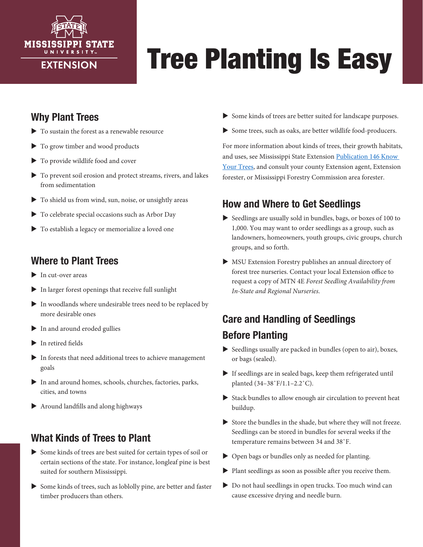

# Tree Planting Is Easy

## Why Plant Trees

- $\blacktriangleright$  To sustain the forest as a renewable resource
- $\blacktriangleright$  To grow timber and wood products
- $\blacktriangleright$  To provide wildlife food and cover
- $\blacktriangleright$  To prevent soil erosion and protect streams, rivers, and lakes from sedimentation
- $\blacktriangleright$  To shield us from wind, sun, noise, or unsightly areas
- $\blacktriangleright$  To celebrate special occasions such as Arbor Day
- $\blacktriangleright$  To establish a legacy or memorialize a loved one

## Where to Plant Trees

- $\blacktriangleright$  In cut-over areas
- $\blacktriangleright$  In larger forest openings that receive full sunlight
- $\blacktriangleright$  In woodlands where undesirable trees need to be replaced by more desirable ones
- $\blacktriangleright$  In and around eroded gullies
- $\blacktriangleright$  In retired fields
- $\blacktriangleright$  In forests that need additional trees to achieve management goals
- In and around homes, schools, churches, factories, parks, cities, and towns
- $\blacktriangleright$  Around landfills and along highways

### What Kinds of Trees to Plant

- u Some kinds of trees are best suited for certain types of soil or certain sections of the state. For instance, longleaf pine is best suited for southern Mississippi.
- Some kinds of trees, such as loblolly pine, are better and faster timber producers than others.
- $\triangleright$  Some kinds of trees are better suited for landscape purposes.
- $\triangleright$  Some trees, such as oaks, are better wildlife food-producers.

For more information about kinds of trees, their growth habitats, and uses, see Mississippi State Extension Publication 146 Know [Your Trees,](http://extension.msstate.edu/publications/publications/know-your-trees-0) and consult your county Extension agent, Extension forester, or Mississippi Forestry Commission area forester.

### How and Where to Get Seedlings

- $\triangleright$  Seedlings are usually sold in bundles, bags, or boxes of 100 to 1,000. You may want to order seedlings as a group, such as landowners, homeowners, youth groups, civic groups, church groups, and so forth.
- u MSU Extension Forestry publishes an annual directory of forest tree nurseries. Contact your local Extension office to request a copy of MTN 4E *Forest Seedling Availability from In-State and Regional Nurseries*.

# Care and Handling of Seedlings Before Planting

- $\blacktriangleright$  Seedlings usually are packed in bundles (open to air), boxes, or bags (sealed).
- $\blacktriangleright$  If seedlings are in sealed bags, keep them refrigerated until planted (34–38˚F/1.1–2.2˚C).
- $\blacktriangleright$  Stack bundles to allow enough air circulation to prevent heat buildup.
- $\blacktriangleright$  Store the bundles in the shade, but where they will not freeze. Seedlings can be stored in bundles for several weeks if the temperature remains between 34 and 38˚F.
- $\triangleright$  Open bags or bundles only as needed for planting.
- $\blacktriangleright$  Plant seedlings as soon as possible after you receive them.
- Do not haul seedlings in open trucks. Too much wind can cause excessive drying and needle burn.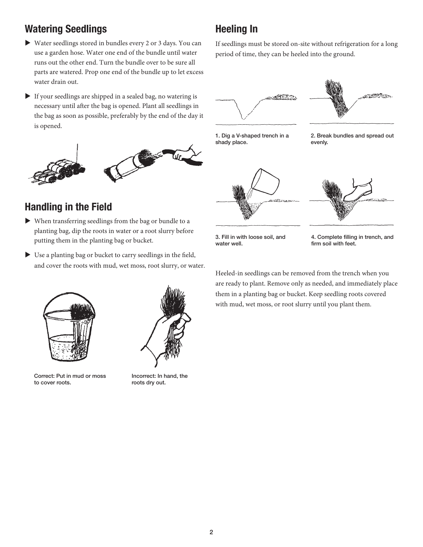# Watering Seedlings

- $\blacktriangleright$  Water seedlings stored in bundles every 2 or 3 days. You can use a garden hose. Water one end of the bundle until water runs out the other end. Turn the bundle over to be sure all parts are watered. Prop one end of the bundle up to let excess water drain out.
- $\blacktriangleright$  If your seedlings are shipped in a sealed bag, no watering is necessary until after the bag is opened. Plant all seedlings in the bag as soon as possible, preferably by the end of the day it is opened.



## Handling in the Field

- $\blacktriangleright$  When transferring seedlings from the bag or bundle to a planting bag, dip the roots in water or a root slurry before putting them in the planting bag or bucket.
- $\triangleright$  Use a planting bag or bucket to carry seedlings in the field, and cover the roots with mud, wet moss, root slurry, or water.



Correct: Put in mud or moss to cover roots.



Incorrect: In hand, the roots dry out.



If seedlings must be stored on-site without refrigeration for a long period of time, they can be heeled into the ground.





1. Dig a V-shaped trench in a shady place.



2. Break bundles and spread out evenly.



3. Fill in with loose soil, and water well.

4. Complete filling in trench, and firm soil with feet.

Heeled-in seedlings can be removed from the trench when you are ready to plant. Remove only as needed, and immediately place them in a planting bag or bucket. Keep seedling roots covered with mud, wet moss, or root slurry until you plant them.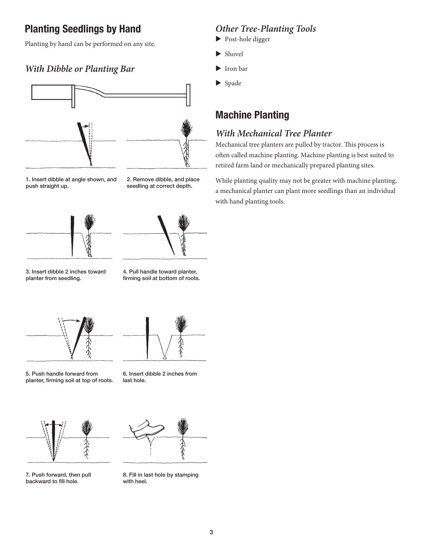# Planting Seedlings by Hand

Planting by hand can be performed on any site.

#### *With Dibble or Planting Bar*



- 1. Insert dibble at angle shown, and push straight up.
- 2. Remove dibble, and place seedling at correct depth.



4. Pull handle toward planter, firming soil at bottom of roots.

3. Insert dibble 2 inches toward planter from seedling.



5. Push handle forward from planter, firming soil at top of roots.



7. Push forward, then pull backward to fill hole.



6. Insert dibble 2 inches from last hole.



8. Fill in last hole by stamping with heel.

## *Other Tree-Planting Tools*

- $\blacktriangleright$  Post-hole digger
- $\blacktriangleright$  Shovel
- Iron bar
- $\blacktriangleright$  Spade

# Machine Planting

#### *With Mechanical Tree Planter*

Mechanical tree planters are pulled by tractor. This process is often called machine planting. Machine planting is best suited to retired farm land or mechanically prepared planting sites.

While planting quality may not be greater with machine planting, a mechanical planter can plant more seedlings than an individual with hand planting tools.